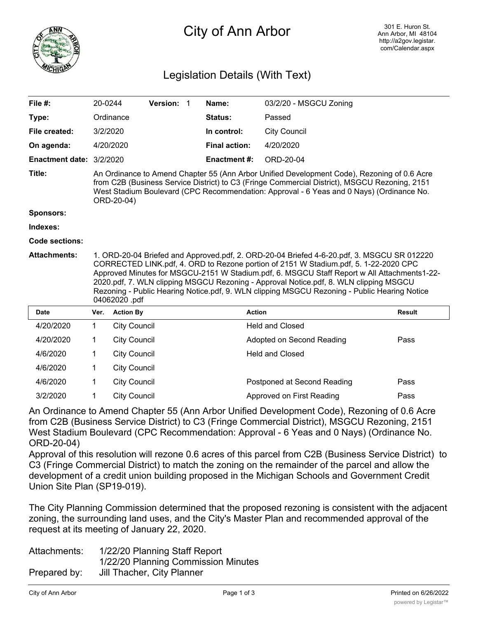

# City of Ann Arbor

# Legislation Details (With Text)

| File #:                  | 20-0244                                                                                                                                                                                                                                                                                                                                                                                                                                                                                    |                     | Version: 1 |  | Name:                | 03/2/20 - MSGCU Zoning      |               |
|--------------------------|--------------------------------------------------------------------------------------------------------------------------------------------------------------------------------------------------------------------------------------------------------------------------------------------------------------------------------------------------------------------------------------------------------------------------------------------------------------------------------------------|---------------------|------------|--|----------------------|-----------------------------|---------------|
| Type:                    |                                                                                                                                                                                                                                                                                                                                                                                                                                                                                            | Ordinance           |            |  | Status:              | Passed                      |               |
| File created:            | 3/2/2020                                                                                                                                                                                                                                                                                                                                                                                                                                                                                   |                     |            |  | In control:          | <b>City Council</b>         |               |
| On agenda:               |                                                                                                                                                                                                                                                                                                                                                                                                                                                                                            | 4/20/2020           |            |  | <b>Final action:</b> | 4/20/2020                   |               |
| Enactment date: 3/2/2020 |                                                                                                                                                                                                                                                                                                                                                                                                                                                                                            |                     |            |  | <b>Enactment#:</b>   | ORD-20-04                   |               |
| Title:                   | An Ordinance to Amend Chapter 55 (Ann Arbor Unified Development Code), Rezoning of 0.6 Acre<br>from C2B (Business Service District) to C3 (Fringe Commercial District), MSGCU Rezoning, 2151<br>West Stadium Boulevard (CPC Recommendation: Approval - 6 Yeas and 0 Nays) (Ordinance No.<br>ORD-20-04)                                                                                                                                                                                     |                     |            |  |                      |                             |               |
| <b>Sponsors:</b>         |                                                                                                                                                                                                                                                                                                                                                                                                                                                                                            |                     |            |  |                      |                             |               |
| Indexes:                 |                                                                                                                                                                                                                                                                                                                                                                                                                                                                                            |                     |            |  |                      |                             |               |
| Code sections:           |                                                                                                                                                                                                                                                                                                                                                                                                                                                                                            |                     |            |  |                      |                             |               |
| <b>Attachments:</b>      | 1. ORD-20-04 Briefed and Approved.pdf, 2. ORD-20-04 Briefed 4-6-20.pdf, 3. MSGCU SR 012220<br>CORRECTED LINK.pdf, 4. ORD to Rezone portion of 2151 W Stadium.pdf, 5. 1-22-2020 CPC<br>Approved Minutes for MSGCU-2151 W Stadium.pdf, 6. MSGCU Staff Report w All Attachments1-22-<br>2020.pdf, 7. WLN clipping MSGCU Rezoning - Approval Notice.pdf, 8. WLN clipping MSGCU<br>Rezoning - Public Hearing Notice.pdf, 9. WLN clipping MSGCU Rezoning - Public Hearing Notice<br>04062020.pdf |                     |            |  |                      |                             |               |
| <b>Date</b>              | Ver.                                                                                                                                                                                                                                                                                                                                                                                                                                                                                       | <b>Action By</b>    |            |  |                      | <b>Action</b>               | <b>Result</b> |
| 4/20/2020                | 1                                                                                                                                                                                                                                                                                                                                                                                                                                                                                          | <b>City Council</b> |            |  |                      | <b>Held and Closed</b>      |               |
| 4/20/2020                | 1                                                                                                                                                                                                                                                                                                                                                                                                                                                                                          | <b>City Council</b> |            |  |                      | Adopted on Second Reading   | Pass          |
| 4/6/2020                 | 1                                                                                                                                                                                                                                                                                                                                                                                                                                                                                          | <b>City Council</b> |            |  |                      | <b>Held and Closed</b>      |               |
| 4/6/2020                 | 1                                                                                                                                                                                                                                                                                                                                                                                                                                                                                          | <b>City Council</b> |            |  |                      |                             |               |
| 4/6/2020                 | 1                                                                                                                                                                                                                                                                                                                                                                                                                                                                                          | <b>City Council</b> |            |  |                      | Postponed at Second Reading | Pass          |

An Ordinance to Amend Chapter 55 (Ann Arbor Unified Development Code), Rezoning of 0.6 Acre from C2B (Business Service District) to C3 (Fringe Commercial District), MSGCU Rezoning, 2151 West Stadium Boulevard (CPC Recommendation: Approval - 6 Yeas and 0 Nays) (Ordinance No. ORD-20-04)

3/2/2020 1 City Council 2008 Approved on First Reading Pass

Approval of this resolution will rezone 0.6 acres of this parcel from C2B (Business Service District) to C3 (Fringe Commercial District) to match the zoning on the remainder of the parcel and allow the development of a credit union building proposed in the Michigan Schools and Government Credit Union Site Plan (SP19-019).

The City Planning Commission determined that the proposed rezoning is consistent with the adjacent zoning, the surrounding land uses, and the City's Master Plan and recommended approval of the request at its meeting of January 22, 2020.

| Attachments: | 1/22/20 Planning Staff Report       |
|--------------|-------------------------------------|
|              | 1/22/20 Planning Commission Minutes |
| Prepared by: | Jill Thacher, City Planner          |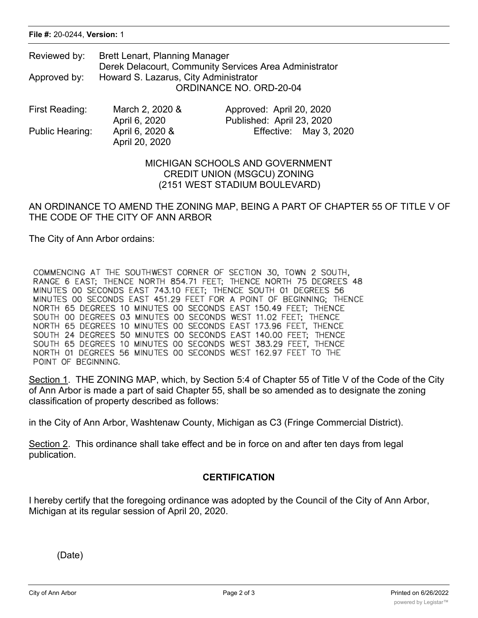| Reviewed by: | Brett Lenart, Planning Manager                         |  |  |  |  |
|--------------|--------------------------------------------------------|--|--|--|--|
|              | Derek Delacourt, Community Services Area Administrator |  |  |  |  |
| Approved by: | Howard S. Lazarus, City Administrator                  |  |  |  |  |
|              | ORDINANCE NO. ORD-20-04                                |  |  |  |  |
|              |                                                        |  |  |  |  |

| First Reading:  | March 2, 2020 & | Approved: April 20, 2020  |
|-----------------|-----------------|---------------------------|
|                 | April 6, 2020   | Published: April 23, 2020 |
| Public Hearing: | April 6, 2020 & | Effective: May 3, 2020    |
|                 | April 20, 2020  |                           |

#### MICHIGAN SCHOOLS AND GOVERNMENT CREDIT UNION (MSGCU) ZONING (2151 WEST STADIUM BOULEVARD)

#### AN ORDINANCE TO AMEND THE ZONING MAP, BEING A PART OF CHAPTER 55 OF TITLE V OF THE CODE OF THE CITY OF ANN ARBOR

The City of Ann Arbor ordains:

COMMENCING AT THE SOUTHWEST CORNER OF SECTION 30, TOWN 2 SOUTH, RANGE 6 EAST; THENCE NORTH 854.71 FEET; THENCE NORTH 75 DEGREES 48 MINUTES 00 SECONDS EAST 743.10 FEET: THENCE SOUTH 01 DEGREES 56 MINUTES OO SECONDS EAST 451.29 FEET FOR A POINT OF BEGINNING; THENCE NORTH 65 DEGREES 10 MINUTES 00 SECONDS EAST 150.49 FEET; THENCE SOUTH OO DEGREES 03 MINUTES OO SECONDS WEST 11.02 FEET; THENCE NORTH 65 DEGREES 10 MINUTES 00 SECONDS EAST 173.96 FEET, THENCE SOUTH 24 DEGREES 50 MINUTES 00 SECONDS EAST 140.00 FEET; THENCE SOUTH 65 DEGREES 10 MINUTES 00 SECONDS WEST 383.29 FEET, THENCE NORTH 01 DEGREES 56 MINUTES 00 SECONDS WEST 162.97 FEET TO THE POINT OF BEGINNING.

Section 1. THE ZONING MAP, which, by Section 5:4 of Chapter 55 of Title V of the Code of the City of Ann Arbor is made a part of said Chapter 55, shall be so amended as to designate the zoning classification of property described as follows:

in the City of Ann Arbor, Washtenaw County, Michigan as C3 (Fringe Commercial District).

Section 2. This ordinance shall take effect and be in force on and after ten days from legal publication.

## **CERTIFICATION**

I hereby certify that the foregoing ordinance was adopted by the Council of the City of Ann Arbor, Michigan at its regular session of April 20, 2020.

(Date)